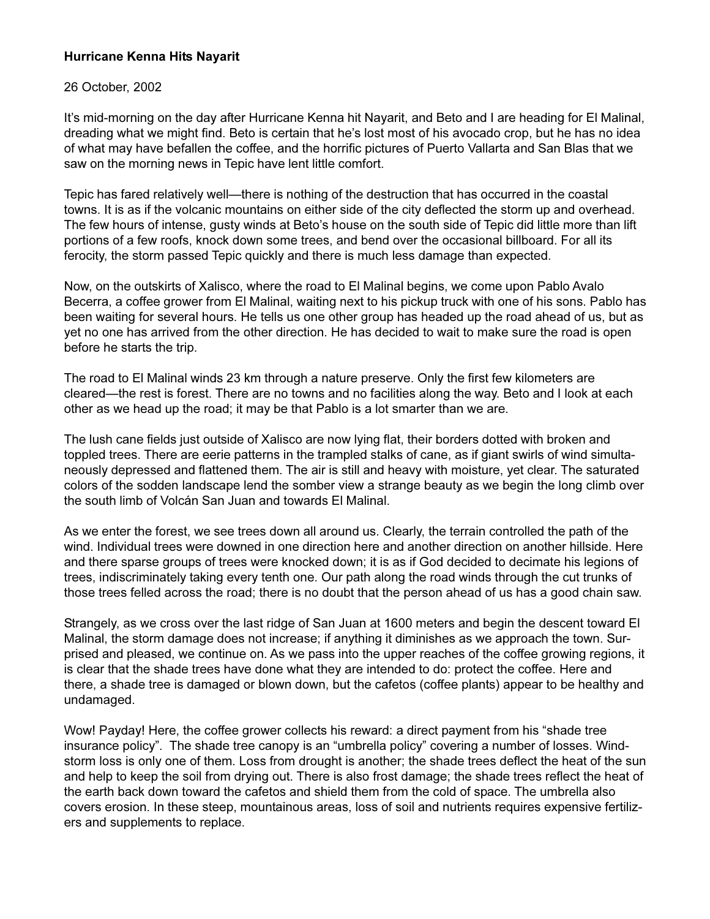## **Hurricane Kenna Hits Nayarit**

## 26 October, 2002

It's mid-morning on the day after Hurricane Kenna hit Nayarit, and Beto and I are heading for El Malinal, dreading what we might find. Beto is certain that he's lost most of his avocado crop, but he has no idea of what may have befallen the coffee, and the horrific pictures of Puerto Vallarta and San Blas that we saw on the morning news in Tepic have lent little comfort.

Tepic has fared relatively well—there is nothing of the destruction that has occurred in the coastal towns. It is as if the volcanic mountains on either side of the city deflected the storm up and overhead. The few hours of intense, gusty winds at Beto's house on the south side of Tepic did little more than lift portions of a few roofs, knock down some trees, and bend over the occasional billboard. For all its ferocity, the storm passed Tepic quickly and there is much less damage than expected.

Now, on the outskirts of Xalisco, where the road to El Malinal begins, we come upon Pablo Avalo Becerra, a coffee grower from El Malinal, waiting next to his pickup truck with one of his sons. Pablo has been waiting for several hours. He tells us one other group has headed up the road ahead of us, but as yet no one has arrived from the other direction. He has decided to wait to make sure the road is open before he starts the trip.

The road to El Malinal winds 23 km through a nature preserve. Only the first few kilometers are cleared—the rest is forest. There are no towns and no facilities along the way. Beto and I look at each other as we head up the road; it may be that Pablo is a lot smarter than we are.

The lush cane fields just outside of Xalisco are now lying flat, their borders dotted with broken and toppled trees. There are eerie patterns in the trampled stalks of cane, as if giant swirls of wind simultaneously depressed and flattened them. The air is still and heavy with moisture, yet clear. The saturated colors of the sodden landscape lend the somber view a strange beauty as we begin the long climb over the south limb of Volcán San Juan and towards El Malinal.

As we enter the forest, we see trees down all around us. Clearly, the terrain controlled the path of the wind. Individual trees were downed in one direction here and another direction on another hillside. Here and there sparse groups of trees were knocked down; it is as if God decided to decimate his legions of trees, indiscriminately taking every tenth one. Our path along the road winds through the cut trunks of those trees felled across the road; there is no doubt that the person ahead of us has a good chain saw.

Strangely, as we cross over the last ridge of San Juan at 1600 meters and begin the descent toward El Malinal, the storm damage does not increase; if anything it diminishes as we approach the town. Surprised and pleased, we continue on. As we pass into the upper reaches of the coffee growing regions, it is clear that the shade trees have done what they are intended to do: protect the coffee. Here and there, a shade tree is damaged or blown down, but the cafetos (coffee plants) appear to be healthy and undamaged.

Wow! Payday! Here, the coffee grower collects his reward: a direct payment from his "shade tree" insurance policy". The shade tree canopy is an "umbrella policy" covering a number of losses. Windstorm loss is only one of them. Loss from drought is another; the shade trees deflect the heat of the sun and help to keep the soil from drying out. There is also frost damage; the shade trees reflect the heat of the earth back down toward the cafetos and shield them from the cold of space. The umbrella also covers erosion. In these steep, mountainous areas, loss of soil and nutrients requires expensive fertilizers and supplements to replace.